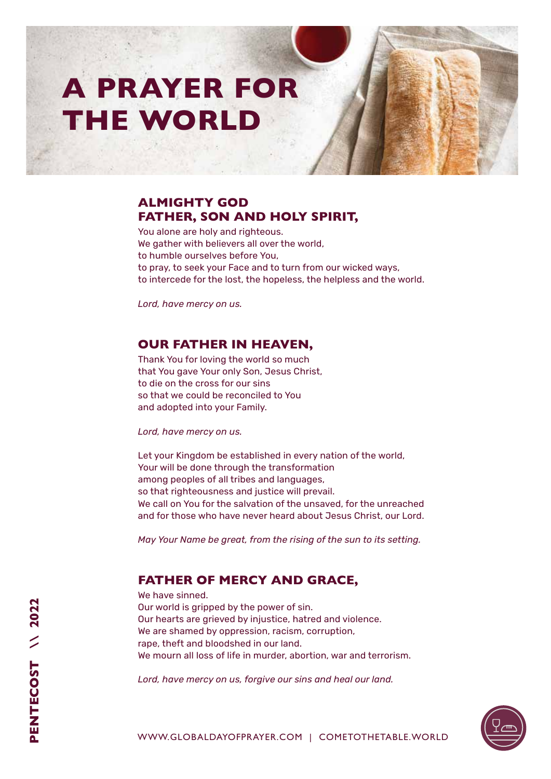# **A PRAYER FOR THE WORLD**

# **ALMIGHTY GOD FATHER, SON AND HOLY SPIRIT,**

You alone are holy and righteous. We gather with believers all over the world, to humble ourselves before You, to pray, to seek your Face and to turn from our wicked ways, to intercede for the lost, the hopeless, the helpless and the world.

*Lord, have mercy on us.* 

#### **OUR FATHER IN HEAVEN,**

Thank You for loving the world so much that You gave Your only Son, Jesus Christ, to die on the cross for our sins so that we could be reconciled to You and adopted into your Family.

*Lord, have mercy on us.* 

Let your Kingdom be established in every nation of the world, Your will be done through the transformation among peoples of all tribes and languages, so that righteousness and justice will prevail. We call on You for the salvation of the unsaved, for the unreached and for those who have never heard about Jesus Christ, our Lord.

*May Your Name be great, from the rising of the sun to its setting.* 

### **FATHER OF MERCY AND GRACE,**

We have sinned. Our world is gripped by the power of sin. Our hearts are grieved by injustice, hatred and violence. We are shamed by oppression, racism, corruption, rape, theft and bloodshed in our land. We mourn all loss of life in murder, abortion, war and terrorism.

*Lord, have mercy on us, forgive our sins and heal our land.*